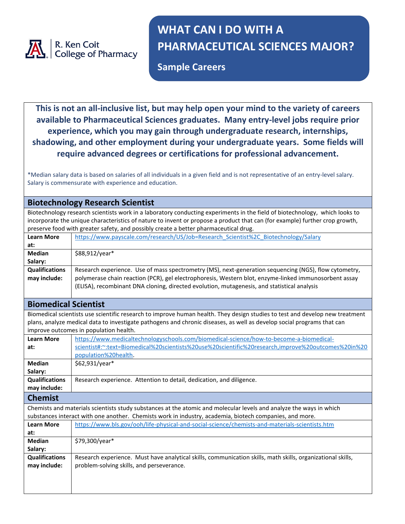

# **WHAT CAN I DO WITH A PHARMACEUTICAL SCIENCES MAJOR?**

**Sample Careers**

**This is not an all-inclusive list, but may help open your mind to the variety of careers available to Pharmaceutical Sciences graduates. Many entry-level jobs require prior experience, which you may gain through undergraduate research, internships, shadowing, and other employment during your undergraduate years. Some fields will require advanced degrees or certifications for professional advancement.**

\*Median salary data is based on salaries of all individuals in a given field and is not representative of an entry-level salary. Salary is commensurate with experience and education.

| <b>Biotechnology Research Scientist</b>                                                                                     |                                                                                                                              |  |  |
|-----------------------------------------------------------------------------------------------------------------------------|------------------------------------------------------------------------------------------------------------------------------|--|--|
| Biotechnology research scientists work in a laboratory conducting experiments in the field of biotechnology, which looks to |                                                                                                                              |  |  |
|                                                                                                                             | incorporate the unique characteristics of nature to invent or propose a product that can (for example) further crop growth,  |  |  |
| preserve food with greater safety, and possibly create a better pharmaceutical drug.                                        |                                                                                                                              |  |  |
| <b>Learn More</b>                                                                                                           | https://www.payscale.com/research/US/Job=Research Scientist%2C Biotechnology/Salary                                          |  |  |
| at:                                                                                                                         |                                                                                                                              |  |  |
| <b>Median</b>                                                                                                               | \$88,912/year*                                                                                                               |  |  |
| Salary:                                                                                                                     |                                                                                                                              |  |  |
| <b>Qualifications</b>                                                                                                       | Research experience. Use of mass spectrometry (MS), next-generation sequencing (NGS), flow cytometry,                        |  |  |
| may include:                                                                                                                | polymerase chain reaction (PCR), gel electrophoresis, Western blot, enzyme-linked immunosorbent assay                        |  |  |
|                                                                                                                             | (ELISA), recombinant DNA cloning, directed evolution, mutagenesis, and statistical analysis                                  |  |  |
|                                                                                                                             |                                                                                                                              |  |  |
| <b>Biomedical Scientist</b>                                                                                                 |                                                                                                                              |  |  |
|                                                                                                                             | Biomedical scientists use scientific research to improve human health. They design studies to test and develop new treatment |  |  |
|                                                                                                                             | plans, analyze medical data to investigate pathogens and chronic diseases, as well as develop social programs that can       |  |  |
|                                                                                                                             | improve outcomes in population health.                                                                                       |  |  |
| <b>Learn More</b>                                                                                                           | https://www.medicaltechnologyschools.com/biomedical-science/how-to-become-a-biomedical-                                      |  |  |
| at:                                                                                                                         | scientist#:~:text=Biomedical%20scientists%20use%20scientific%20research,improve%20outcomes%20in%20                           |  |  |
|                                                                                                                             | population%20health.                                                                                                         |  |  |
| <b>Median</b>                                                                                                               | \$62,931/year*                                                                                                               |  |  |
| Salary:                                                                                                                     |                                                                                                                              |  |  |
| <b>Qualifications</b>                                                                                                       | Research experience. Attention to detail, dedication, and diligence.                                                         |  |  |
| may include:                                                                                                                |                                                                                                                              |  |  |
| <b>Chemist</b>                                                                                                              |                                                                                                                              |  |  |
|                                                                                                                             | Chemists and materials scientists study substances at the atomic and molecular levels and analyze the ways in which          |  |  |
|                                                                                                                             | substances interact with one another. Chemists work in industry, academia, biotech companies, and more.                      |  |  |
| <b>Learn More</b>                                                                                                           | https://www.bls.gov/ooh/life-physical-and-social-science/chemists-and-materials-scientists.htm                               |  |  |
| at:                                                                                                                         |                                                                                                                              |  |  |
| <b>Median</b>                                                                                                               | \$79,300/year*                                                                                                               |  |  |
| Salary:                                                                                                                     |                                                                                                                              |  |  |
| <b>Qualifications</b>                                                                                                       | Research experience. Must have analytical skills, communication skills, math skills, organizational skills,                  |  |  |
| may include:                                                                                                                | problem-solving skills, and perseverance.                                                                                    |  |  |
|                                                                                                                             |                                                                                                                              |  |  |
|                                                                                                                             |                                                                                                                              |  |  |
|                                                                                                                             |                                                                                                                              |  |  |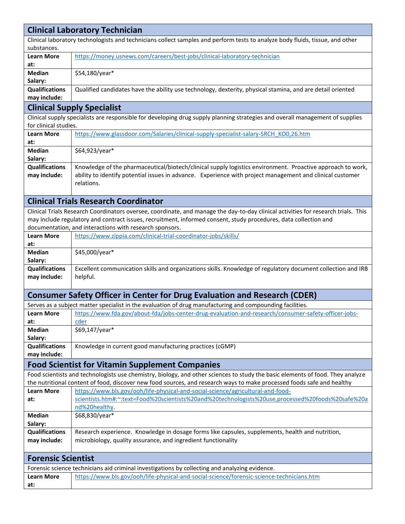| <b>Clinical Laboratory Technician</b>                                                                                         |                                                                                                                                                                                                                                                                                                                   |  |
|-------------------------------------------------------------------------------------------------------------------------------|-------------------------------------------------------------------------------------------------------------------------------------------------------------------------------------------------------------------------------------------------------------------------------------------------------------------|--|
| Clinical laboratory technologists and technicians collect samples and perform tests to analyze body fluids, tissue, and other |                                                                                                                                                                                                                                                                                                                   |  |
| substances.                                                                                                                   |                                                                                                                                                                                                                                                                                                                   |  |
| <b>Learn More</b><br>at:                                                                                                      | https://money.usnews.com/careers/best-jobs/clinical-laboratory-technician                                                                                                                                                                                                                                         |  |
| <b>Median</b>                                                                                                                 | \$54,180/year*                                                                                                                                                                                                                                                                                                    |  |
| Salary:                                                                                                                       |                                                                                                                                                                                                                                                                                                                   |  |
| <b>Qualifications</b>                                                                                                         | Qualified candidates have the ability use technology, dexterity, physical stamina, and are detail oriented                                                                                                                                                                                                        |  |
| may include:                                                                                                                  |                                                                                                                                                                                                                                                                                                                   |  |
|                                                                                                                               | <b>Clinical Supply Specialist</b>                                                                                                                                                                                                                                                                                 |  |
| for clinical studies.                                                                                                         | Clinical supply specialists are responsible for developing drug supply planning strategies and overall management of supplies                                                                                                                                                                                     |  |
| <b>Learn More</b><br>at:                                                                                                      | https://www.glassdoor.com/Salaries/clinical-supply-specialist-salary-SRCH KO0,26.htm                                                                                                                                                                                                                              |  |
| <b>Median</b><br>Salary:                                                                                                      | \$64,923/year*                                                                                                                                                                                                                                                                                                    |  |
| <b>Qualifications</b><br>may include:                                                                                         | Knowledge of the pharmaceutical/biotech/clinical supply logistics environment. Proactive approach to work,<br>ability to identify potential issues in advance. Experience with project management and clinical customer<br>relations.                                                                             |  |
|                                                                                                                               | <b>Clinical Trials Research Coordinator</b>                                                                                                                                                                                                                                                                       |  |
|                                                                                                                               | Clinical Trials Research Coordinators oversee, coordinate, and manage the day-to-day clinical activities for research trials. This<br>may include regulatory and contract issues, recruitment, informed consent, study procedures, data collection and<br>documentation, and interactions with research sponsors. |  |
| <b>Learn More</b>                                                                                                             | https://www.zippia.com/clinical-trial-coordinator-jobs/skills/                                                                                                                                                                                                                                                    |  |
| at:                                                                                                                           |                                                                                                                                                                                                                                                                                                                   |  |
| <b>Median</b><br>Salary:                                                                                                      | \$45,000/year*                                                                                                                                                                                                                                                                                                    |  |
| <b>Qualifications</b><br>may include:                                                                                         | Excellent communication skills and organizations skills. Knowledge of regulatory document collection and IRB<br>helpful.                                                                                                                                                                                          |  |
|                                                                                                                               | <b>Consumer Safety Officer in Center for Drug Evaluation and Research (CDER)</b>                                                                                                                                                                                                                                  |  |
|                                                                                                                               | Serves as a subject matter specialist in the evaluation of drug manufacturing and compounding facilities.                                                                                                                                                                                                         |  |
| <b>Learn More</b>                                                                                                             | https://www.fda.gov/about-fda/jobs-center-drug-evaluation-and-research/consumer-safety-officer-jobs-                                                                                                                                                                                                              |  |
| at:                                                                                                                           | cder                                                                                                                                                                                                                                                                                                              |  |
| <b>Median</b>                                                                                                                 | \$69,147/year*                                                                                                                                                                                                                                                                                                    |  |
| Salary:                                                                                                                       |                                                                                                                                                                                                                                                                                                                   |  |
| <b>Qualifications</b><br>may include:                                                                                         | Knowledge in current good manufacturing practices (cGMP)                                                                                                                                                                                                                                                          |  |
|                                                                                                                               | <b>Food Scientist for Vitamin Supplement Companies</b>                                                                                                                                                                                                                                                            |  |
|                                                                                                                               | Food scientists and technologists use chemistry, biology, and other sciences to study the basic elements of food. They analyze                                                                                                                                                                                    |  |
|                                                                                                                               | the nutritional content of food, discover new food sources, and research ways to make processed foods safe and healthy                                                                                                                                                                                            |  |
| <b>Learn More</b>                                                                                                             | https://www.bls.gov/ooh/life-physical-and-social-science/agricultural-and-food-                                                                                                                                                                                                                                   |  |
| at:                                                                                                                           | scientists.htm#:~:text=Food%20scientists%20and%20technologists%20use,processed%20foods%20safe%20a                                                                                                                                                                                                                 |  |
|                                                                                                                               | nd%20healthy.                                                                                                                                                                                                                                                                                                     |  |
| <b>Median</b>                                                                                                                 | \$68,830/year*                                                                                                                                                                                                                                                                                                    |  |
| Salary:                                                                                                                       |                                                                                                                                                                                                                                                                                                                   |  |
| <b>Qualifications</b>                                                                                                         | Research experience. Knowledge in dosage forms like capsules, supplements, health and nutrition,                                                                                                                                                                                                                  |  |
| may include:                                                                                                                  | microbiology, quality assurance, and ingredient functionality                                                                                                                                                                                                                                                     |  |
| <b>Forensic Scientist</b>                                                                                                     |                                                                                                                                                                                                                                                                                                                   |  |
|                                                                                                                               | Forensic science technicians aid criminal investigations by collecting and analyzing evidence.                                                                                                                                                                                                                    |  |
| <b>Learn More</b>                                                                                                             | https://www.bls.gov/ooh/life-physical-and-social-science/forensic-science-technicians.htm                                                                                                                                                                                                                         |  |
| at:                                                                                                                           |                                                                                                                                                                                                                                                                                                                   |  |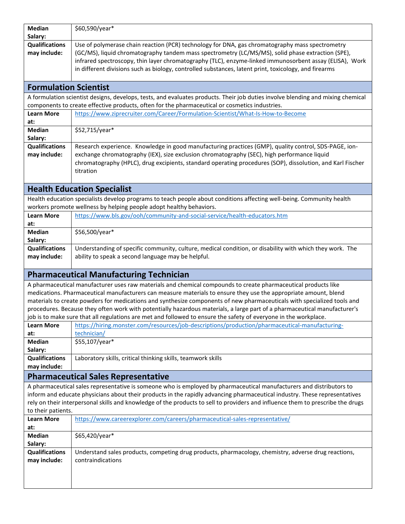| <b>Median</b>                | \$60,590/year*                                                                                                                                   |
|------------------------------|--------------------------------------------------------------------------------------------------------------------------------------------------|
| Salary:                      |                                                                                                                                                  |
| <b>Qualifications</b>        | Use of polymerase chain reaction (PCR) technology for DNA, gas chromatography mass spectrometry                                                  |
| may include:                 | (GC/MS), liquid chromatography tandem mass spectrometry (LC/MS/MS), solid phase extraction (SPE),                                                |
|                              | infrared spectroscopy, thin layer chromatography (TLC), enzyme-linked immunosorbent assay (ELISA), Work                                          |
|                              | in different divisions such as biology, controlled substances, latent print, toxicology, and firearms                                            |
| <b>Formulation Scientist</b> |                                                                                                                                                  |
|                              | A formulation scientist designs, develops, tests, and evaluates products. Their job duties involve blending and mixing chemical                  |
|                              | components to create effective products, often for the pharmaceutical or cosmetics industries.                                                   |
| <b>Learn More</b><br>at:     | https://www.ziprecruiter.com/Career/Formulation-Scientist/What-Is-How-to-Become                                                                  |
| <b>Median</b>                | \$52,715/year*                                                                                                                                   |
| Salary:                      |                                                                                                                                                  |
| <b>Qualifications</b>        | Research experience. Knowledge in good manufacturing practices (GMP), quality control, SDS-PAGE, ion-                                            |
| may include:                 | exchange chromatography (IEX), size exclusion chromatography (SEC), high performance liquid                                                      |
|                              | chromatography (HPLC), drug excipients, standard operating procedures (SOP), dissolution, and Karl Fischer                                       |
|                              | titration                                                                                                                                        |
|                              |                                                                                                                                                  |
|                              | <b>Health Education Specialist</b>                                                                                                               |
|                              | Health education specialists develop programs to teach people about conditions affecting well-being. Community health                            |
| <b>Learn More</b>            | workers promote wellness by helping people adopt healthy behaviors.<br>https://www.bls.gov/ooh/community-and-social-service/health-educators.htm |
| at:                          |                                                                                                                                                  |
| <b>Median</b>                | \$56,500/year*                                                                                                                                   |
| Salary:                      |                                                                                                                                                  |
| <b>Qualifications</b>        | Understanding of specific community, culture, medical condition, or disability with which they work. The                                         |
| may include:                 | ability to speak a second language may be helpful.                                                                                               |
|                              |                                                                                                                                                  |
|                              | <b>Pharmaceutical Manufacturing Technician</b>                                                                                                   |
|                              | A pharmaceutical manufacturer uses raw materials and chemical compounds to create pharmaceutical products like                                   |
|                              | medications. Pharmaceutical manufacturers can measure materials to ensure they use the appropriate amount, blend                                 |
|                              | materials to create powders for medications and synthesize components of new pharmaceuticals with specialized tools and                          |
|                              | procedures. Because they often work with potentially hazardous materials, a large part of a pharmaceutical manufacturer's                        |
|                              | job is to make sure that all regulations are met and followed to ensure the safety of everyone in the workplace.                                 |
| <b>Learn More</b>            | https://hiring.monster.com/resources/job-descriptions/production/pharmaceutical-manufacturing-                                                   |
| at:<br><b>Median</b>         | technician/<br>\$55,107/year*                                                                                                                    |
| Salary:                      |                                                                                                                                                  |
| <b>Qualifications</b>        | Laboratory skills, critical thinking skills, teamwork skills                                                                                     |
| may include:                 |                                                                                                                                                  |
|                              | <b>Pharmaceutical Sales Representative</b>                                                                                                       |
|                              | A pharmaceutical sales representative is someone who is employed by pharmaceutical manufacturers and distributors to                             |
|                              | inform and educate physicians about their products in the rapidly advancing pharmaceutical industry. These representatives                       |
|                              | rely on their interpersonal skills and knowledge of the products to sell to providers and influence them to prescribe the drugs                  |
| to their patients.           |                                                                                                                                                  |
| <b>Learn More</b>            | https://www.careerexplorer.com/careers/pharmaceutical-sales-representative/                                                                      |
| at:                          |                                                                                                                                                  |
| <b>Median</b><br>Salary:     | \$65,420/year*                                                                                                                                   |
| <b>Qualifications</b>        | Understand sales products, competing drug products, pharmacology, chemistry, adverse drug reactions,                                             |
| may include:                 | contraindications                                                                                                                                |
|                              |                                                                                                                                                  |
|                              |                                                                                                                                                  |
|                              |                                                                                                                                                  |